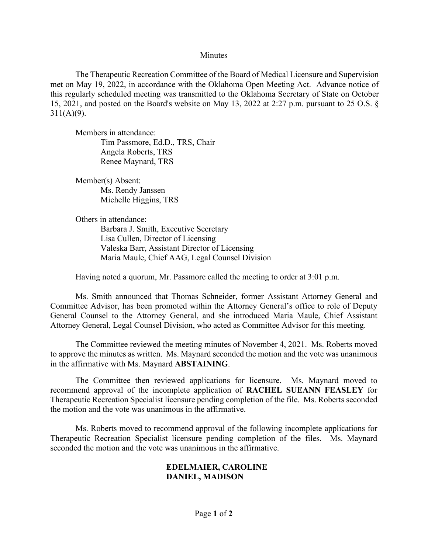## **Minutes**

The Therapeutic Recreation Committee of the Board of Medical Licensure and Supervision met on May 19, 2022, in accordance with the Oklahoma Open Meeting Act. Advance notice of this regularly scheduled meeting was transmitted to the Oklahoma Secretary of State on October 15, 2021, and posted on the Board's website on May 13, 2022 at 2:27 p.m. pursuant to 25 O.S. §  $311(A)(9)$ .

Members in attendance: Tim Passmore, Ed.D., TRS, Chair Angela Roberts, TRS Renee Maynard, TRS

Member(s) Absent: Ms. Rendy Janssen Michelle Higgins, TRS

Others in attendance:

Barbara J. Smith, Executive Secretary Lisa Cullen, Director of Licensing Valeska Barr, Assistant Director of Licensing Maria Maule, Chief AAG, Legal Counsel Division

Having noted a quorum, Mr. Passmore called the meeting to order at 3:01 p.m.

Ms. Smith announced that Thomas Schneider, former Assistant Attorney General and Committee Advisor, has been promoted within the Attorney General's office to role of Deputy General Counsel to the Attorney General, and she introduced Maria Maule, Chief Assistant Attorney General, Legal Counsel Division, who acted as Committee Advisor for this meeting.

The Committee reviewed the meeting minutes of November 4, 2021. Ms. Roberts moved to approve the minutes as written. Ms. Maynard seconded the motion and the vote was unanimous in the affirmative with Ms. Maynard **ABSTAINING**.

The Committee then reviewed applications for licensure. Ms. Maynard moved to recommend approval of the incomplete application of **RACHEL SUEANN FEASLEY** for Therapeutic Recreation Specialist licensure pending completion of the file. Ms. Roberts seconded the motion and the vote was unanimous in the affirmative.

Ms. Roberts moved to recommend approval of the following incomplete applications for Therapeutic Recreation Specialist licensure pending completion of the files. Ms. Maynard seconded the motion and the vote was unanimous in the affirmative.

## **EDELMAIER, CAROLINE DANIEL, MADISON**